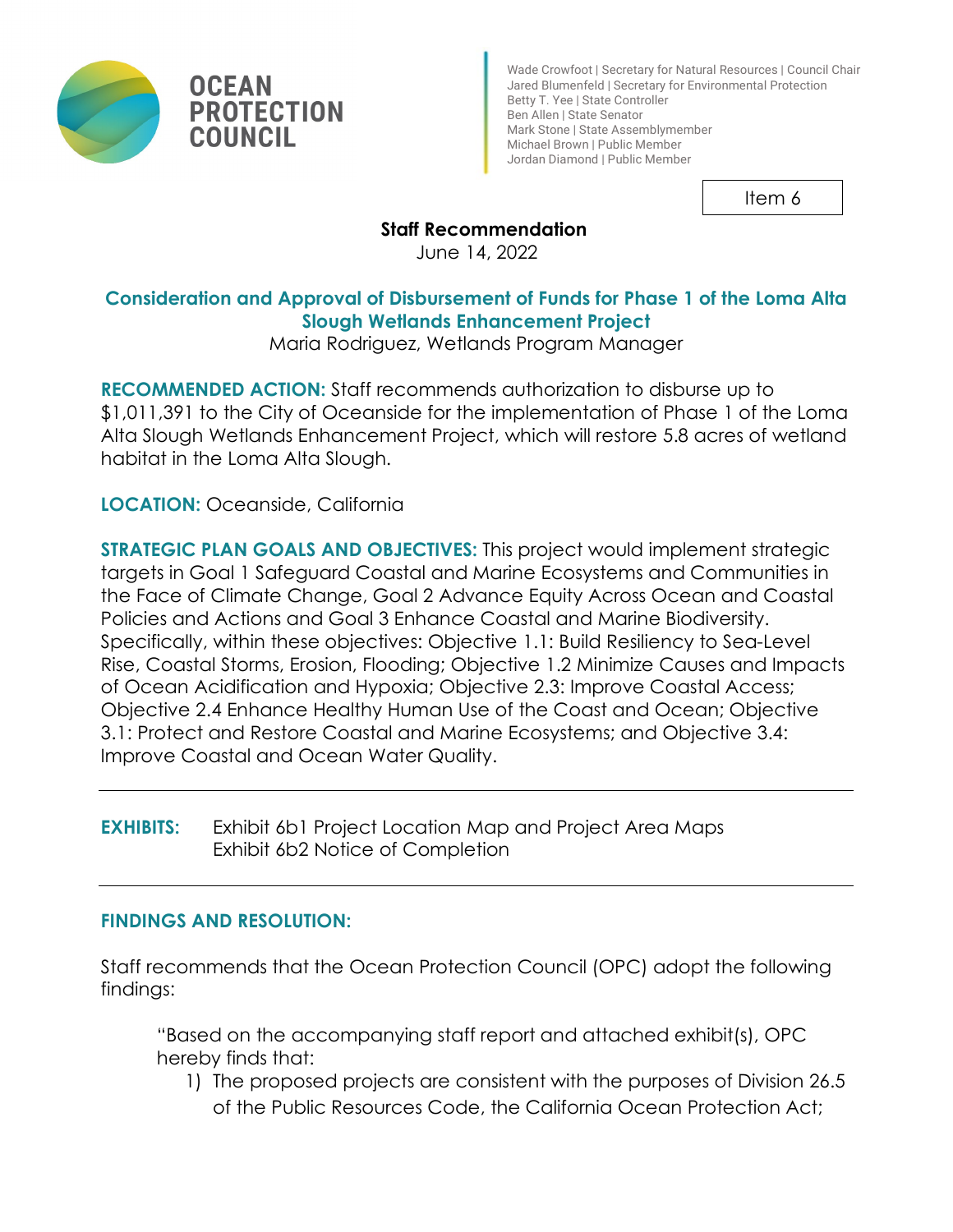

Wade Crowfoot | Secretary for Natural Resources | Council Chair Jared Blumenfeld | Secretary for Environmental Protection Betty T. Yee | State Controller Ben Allen | State Senator Mark Stone | State Assemblymember Michael Brown | Public Member Jordan Diamond | Public Member

Item 6

# **Staff Recommendation**

June 14, 2022

## **Consideration and Approval of Disbursement of Funds for Phase 1 of the Loma Alta Slough Wetlands Enhancement Project**

Maria Rodriguez, Wetlands Program Manager

**RECOMMENDED ACTION:** Staff recommends authorization to disburse up to \$1,011,391 to the City of Oceanside for the implementation of Phase 1 of the Loma Alta Slough Wetlands Enhancement Project, which will restore 5.8 acres of wetland habitat in the Loma Alta Slough.

**LOCATION:** Oceanside, California

**STRATEGIC PLAN GOALS AND OBJECTIVES:** This project would implement strategic targets in Goal 1 Safeguard Coastal and Marine Ecosystems and Communities in the Face of Climate Change, Goal 2 Advance Equity Across Ocean and Coastal Policies and Actions and Goal 3 Enhance Coastal and Marine Biodiversity. Specifically, within these objectives: Objective 1.1: Build Resiliency to Sea-Level Rise, Coastal Storms, Erosion, Flooding; Objective 1.2 Minimize Causes and Impacts of Ocean Acidification and Hypoxia; Objective 2.3: Improve Coastal Access; Objective 2.4 Enhance Healthy Human Use of the Coast and Ocean; Objective 3.1: Protect and Restore Coastal and Marine Ecosystems; and Objective 3.4: Improve Coastal and Ocean Water Quality.

**EXHIBITS:** Exhibit 6b1 Project Location Map and Project Area Maps Exhibit 6b2 Notice of Completion

## **FINDINGS AND RESOLUTION:**

Staff recommends that the Ocean Protection Council (OPC) adopt the following findings:

"Based on the accompanying staff report and attached exhibit(s), OPC hereby finds that:

1) The proposed projects are consistent with the purposes of Division 26.5 of the Public Resources Code, the California Ocean Protection Act;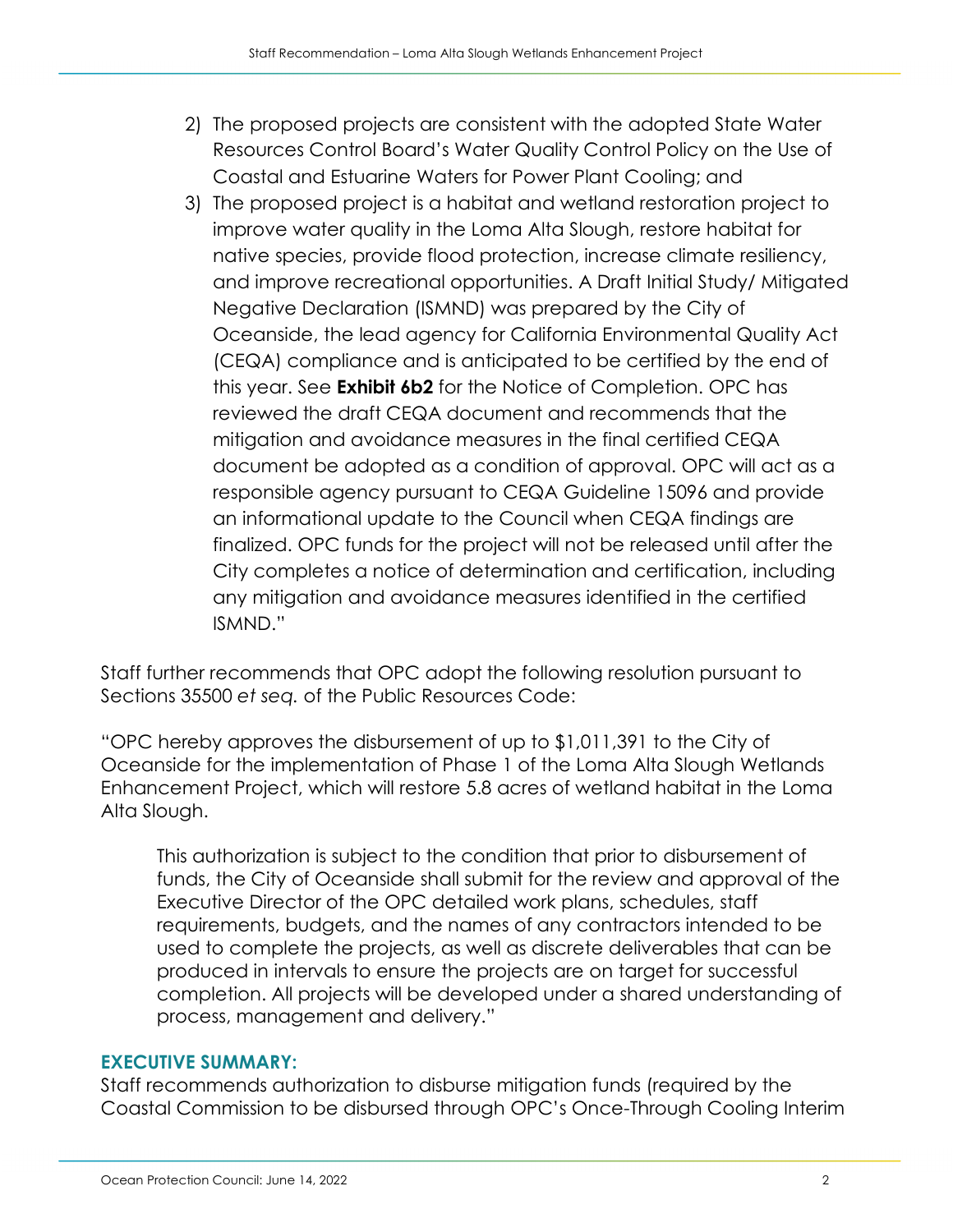- 2) The proposed projects are consistent with the adopted State Water Resources Control Board's Water Quality Control Policy on the Use of Coastal and Estuarine Waters for Power Plant Cooling; and
- 3) The proposed project is a habitat and wetland restoration project to improve water quality in the Loma Alta Slough, restore habitat for native species, provide flood protection, increase climate resiliency, and improve recreational opportunities. A Draft Initial Study/ Mitigated Negative Declaration (ISMND) was prepared by the City of Oceanside, the lead agency for California Environmental Quality Act (CEQA) compliance and is anticipated to be certified by the end of this year. See **Exhibit 6b2** for the Notice of Completion. OPC has reviewed the draft CEQA document and recommends that the mitigation and avoidance measures in the final certified CEQA document be adopted as a condition of approval. OPC will act as a responsible agency pursuant to CEQA Guideline 15096 and provide an informational update to the Council when CEQA findings are finalized. OPC funds for the project will not be released until after the City completes a notice of determination and certification, including any mitigation and avoidance measures identified in the certified ISMND."

Staff further recommends that OPC adopt the following resolution pursuant to Sections 35500 *et seq.* of the Public Resources Code:

"OPC hereby approves the disbursement of up to \$1,011,391 to the City of Oceanside for the implementation of Phase 1 of the Loma Alta Slough Wetlands Enhancement Project, which will restore 5.8 acres of wetland habitat in the Loma Alta Slough.

This authorization is subject to the condition that prior to disbursement of funds, the City of Oceanside shall submit for the review and approval of the Executive Director of the OPC detailed work plans, schedules, staff requirements, budgets, and the names of any contractors intended to be used to complete the projects, as well as discrete deliverables that can be produced in intervals to ensure the projects are on target for successful completion. All projects will be developed under a shared understanding of process, management and delivery."

## **EXECUTIVE SUMMARY:**

Staff recommends authorization to disburse mitigation funds (required by the Coastal Commission to be disbursed through OPC's Once-Through Cooling Interim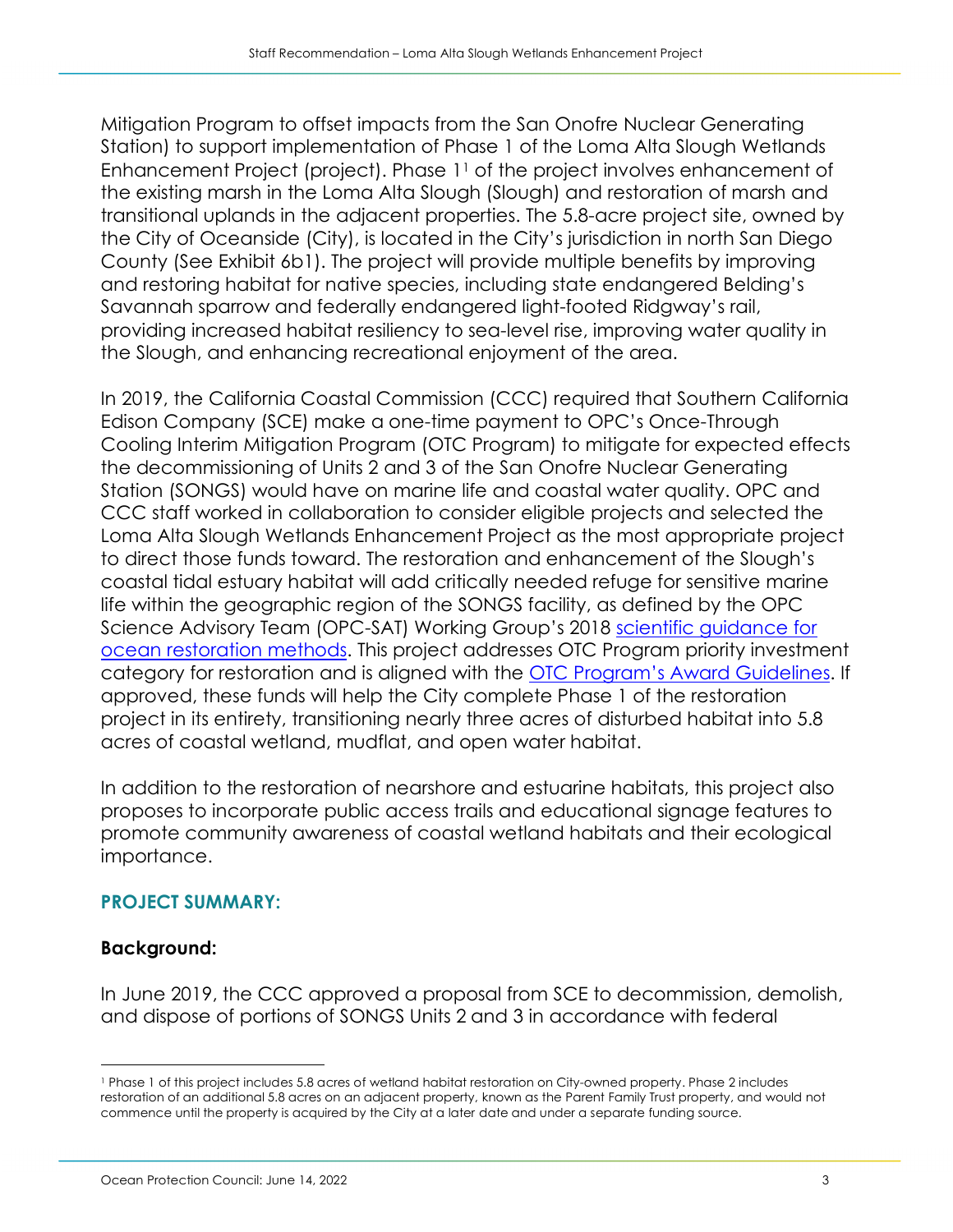Mitigation Program to offset impacts from the San Onofre Nuclear Generating Station) to support implementation of Phase 1 of the Loma Alta Slough Wetlands Enhancement Project (project). Phase 1<sup>1</sup> of the project involves enhancement of the existing marsh in the Loma Alta Slough (Slough) and restoration of marsh and transitional uplands in the adjacent properties. The 5.8-acre project site, owned by the City of Oceanside (City), is located in the City's jurisdiction in north San Diego County (See Exhibit 6b1). The project will provide multiple benefits by improving and restoring habitat for native species, including state endangered Belding's Savannah sparrow and federally endangered light-footed Ridgway's rail, providing increased habitat resiliency to sea-level rise, improving water quality in the Slough, and enhancing recreational enjoyment of the area.

In 2019, the California Coastal Commission (CCC) required that Southern California Edison Company (SCE) make a one-time payment to OPC's Once-Through Cooling Interim Mitigation Program (OTC Program) to mitigate for expected effects the decommissioning of Units 2 and 3 of the San Onofre Nuclear Generating Station (SONGS) would have on marine life and coastal water quality. OPC and CCC staff worked in collaboration to consider eligible projects and selected the Loma Alta Slough Wetlands Enhancement Project as the most appropriate project to direct those funds toward. The restoration and enhancement of the Slough's coastal tidal estuary habitat will add critically needed refuge for sensitive marine life within the geographic region of the SONGS facility, as defined by the OPC Science Advisory Team (OPC-SAT) Working Group's 2018 [scientific guidance for](https://opc.ca.gov/webmaster/OST-Ocean-Restoration-Methods-Final-HighRes.pdf)  [ocean restoration methods.](https://opc.ca.gov/webmaster/OST-Ocean-Restoration-Methods-Final-HighRes.pdf) This project addresses OTC Program priority investment category for restoration and is aligned with the **[OTC Program's Award Guidelines.](https://opc.ca.gov/webmaster/_media_library/2018/10/OTCAwardGuidelines_OceanProtectionCouncil_FINAL.pdf)** If approved, these funds will help the City complete Phase 1 of the restoration project in its entirety, transitioning nearly three acres of disturbed habitat into 5.8 acres of coastal wetland, mudflat, and open water habitat.

In addition to the restoration of nearshore and estuarine habitats, this project also proposes to incorporate public access trails and educational signage features to promote community awareness of coastal wetland habitats and their ecological importance.

## **PROJECT SUMMARY:**

## **Background:**

In June 2019, the CCC approved a proposal from SCE to decommission, demolish, and dispose of portions of SONGS Units 2 and 3 in accordance with federal

<span id="page-2-0"></span><sup>1</sup> Phase 1 of this project includes 5.8 acres of wetland habitat restoration on City-owned property. Phase 2 includes restoration of an additional 5.8 acres on an adjacent property, known as the Parent Family Trust property, and would not commence until the property is acquired by the City at a later date and under a separate funding source.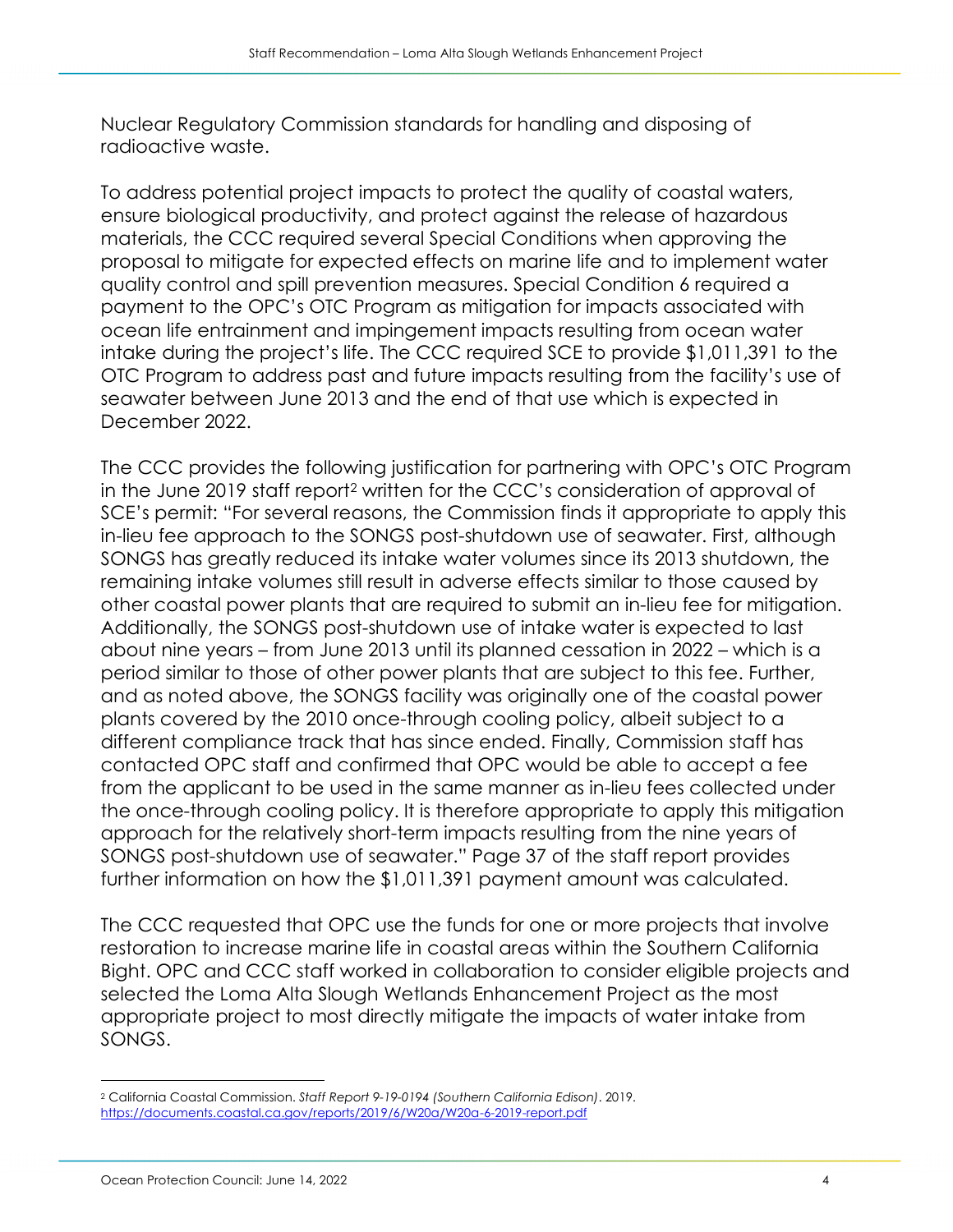Nuclear Regulatory Commission standards for handling and disposing of radioactive waste.

To address potential project impacts to protect the quality of coastal waters, ensure biological productivity, and protect against the release of hazardous materials, the CCC required several Special Conditions when approving the proposal to mitigate for expected effects on marine life and to implement water quality control and spill prevention measures. Special Condition 6 required a payment to the OPC's OTC Program as mitigation for impacts associated with ocean life entrainment and impingement impacts resulting from ocean water intake during the project's life. The CCC required SCE to provide \$1,011,391 to the OTC Program to address past and future impacts resulting from the facility's use of seawater between June 2013 and the end of that use which is expected in December 2022.

The CCC provides the following justification for partnering with OPC's OTC Program in the June 2019 staff report[2](#page-3-0) written for the CCC's consideration of approval of SCE's permit: "For several reasons, the Commission finds it appropriate to apply this in-lieu fee approach to the SONGS post-shutdown use of seawater. First, although SONGS has greatly reduced its intake water volumes since its 2013 shutdown, the remaining intake volumes still result in adverse effects similar to those caused by other coastal power plants that are required to submit an in-lieu fee for mitigation. Additionally, the SONGS post-shutdown use of intake water is expected to last about nine years – from June 2013 until its planned cessation in 2022 – which is a period similar to those of other power plants that are subject to this fee. Further, and as noted above, the SONGS facility was originally one of the coastal power plants covered by the 2010 once-through cooling policy, albeit subject to a different compliance track that has since ended. Finally, Commission staff has contacted OPC staff and confirmed that OPC would be able to accept a fee from the applicant to be used in the same manner as in-lieu fees collected under the once-through cooling policy. It is therefore appropriate to apply this mitigation approach for the relatively short-term impacts resulting from the nine years of SONGS post-shutdown use of seawater." Page 37 of the staff report provides further information on how the \$1,011,391 payment amount was calculated.

The CCC requested that OPC use the funds for one or more projects that involve restoration to increase marine life in coastal areas within the Southern California Bight. OPC and CCC staff worked in collaboration to consider eligible projects and selected the Loma Alta Slough Wetlands Enhancement Project as the most appropriate project to most directly mitigate the impacts of water intake from SONGS.

<span id="page-3-0"></span><sup>2</sup> California Coastal Commission. *Staff Report 9-19-0194 (Southern California Edison)*. 2019. <https://documents.coastal.ca.gov/reports/2019/6/W20a/W20a-6-2019-report.pdf>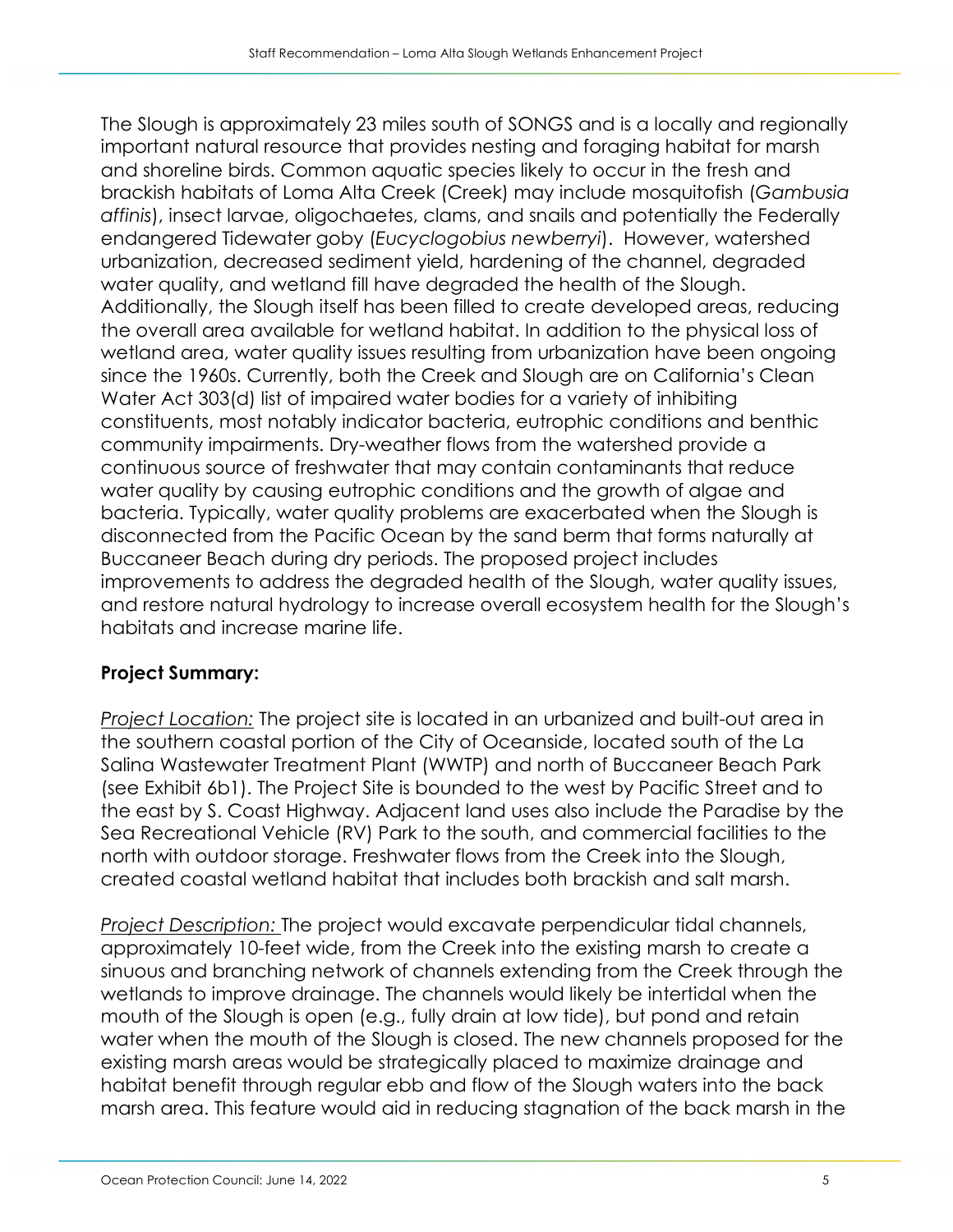The Slough is approximately 23 miles south of SONGS and is a locally and regionally important natural resource that provides nesting and foraging habitat for marsh and shoreline birds. Common aquatic species likely to occur in the fresh and brackish habitats of Loma Alta Creek (Creek) may include mosquitofish (*Gambusia affinis*), insect larvae, oligochaetes, clams, and snails and potentially the Federally endangered Tidewater goby (*Eucyclogobius newberryi*). However, watershed urbanization, decreased sediment yield, hardening of the channel, degraded water quality, and wetland fill have degraded the health of the Slough. Additionally, the Slough itself has been filled to create developed areas, reducing the overall area available for wetland habitat. In addition to the physical loss of wetland area, water quality issues resulting from urbanization have been ongoing since the 1960s. Currently, both the Creek and Slough are on California's Clean Water Act 303(d) list of impaired water bodies for a variety of inhibiting constituents, most notably indicator bacteria, eutrophic conditions and benthic community impairments. Dry-weather flows from the watershed provide a continuous source of freshwater that may contain contaminants that reduce water quality by causing eutrophic conditions and the growth of algae and bacteria. Typically, water quality problems are exacerbated when the Slough is disconnected from the Pacific Ocean by the sand berm that forms naturally at Buccaneer Beach during dry periods. The proposed project includes improvements to address the degraded health of the Slough, water quality issues, and restore natural hydrology to increase overall ecosystem health for the Slough's habitats and increase marine life.

# **Project Summary:**

*Project Location:* The project site is located in an urbanized and built-out area in the southern coastal portion of the City of Oceanside, located south of the La Salina Wastewater Treatment Plant (WWTP) and north of Buccaneer Beach Park (see Exhibit 6b1). The Project Site is bounded to the west by Pacific Street and to the east by S. Coast Highway. Adjacent land uses also include the Paradise by the Sea Recreational Vehicle (RV) Park to the south, and commercial facilities to the north with outdoor storage. Freshwater flows from the Creek into the Slough, created coastal wetland habitat that includes both brackish and salt marsh.

*Project Description:* The project would excavate perpendicular tidal channels, approximately 10-feet wide, from the Creek into the existing marsh to create a sinuous and branching network of channels extending from the Creek through the wetlands to improve drainage. The channels would likely be intertidal when the mouth of the Slough is open (e.g., fully drain at low tide), but pond and retain water when the mouth of the Slough is closed. The new channels proposed for the existing marsh areas would be strategically placed to maximize drainage and habitat benefit through regular ebb and flow of the Slough waters into the back marsh area. This feature would aid in reducing stagnation of the back marsh in the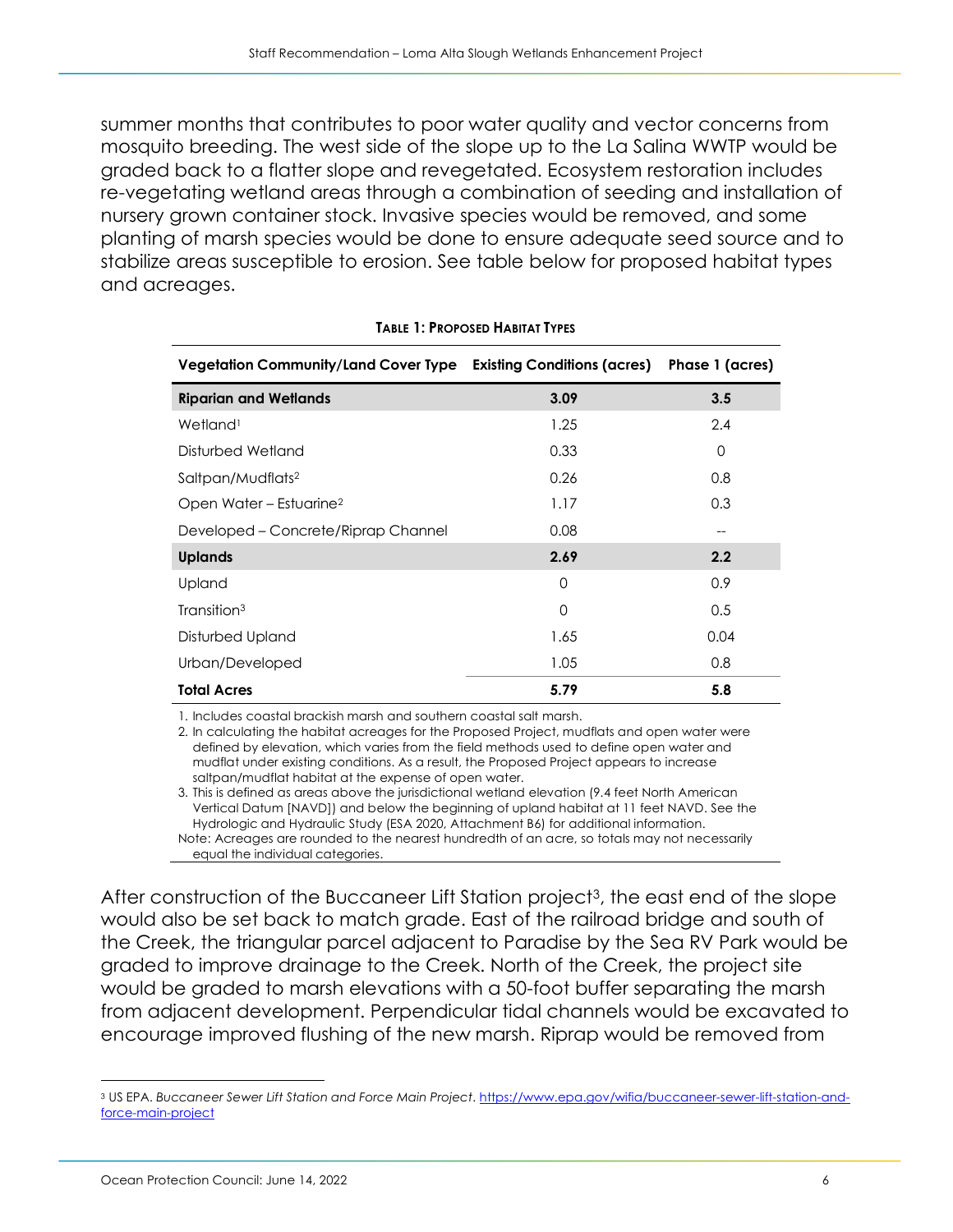summer months that contributes to poor water quality and vector concerns from mosquito breeding. The west side of the slope up to the La Salina WWTP would be graded back to a flatter slope and revegetated. Ecosystem restoration includes re-vegetating wetland areas through a combination of seeding and installation of nursery grown container stock. Invasive species would be removed, and some planting of marsh species would be done to ensure adequate seed source and to stabilize areas susceptible to erosion. See table below for proposed habitat types and acreages.

| <b>Vegetation Community/Land Cover Type</b> | <b>Existing Conditions (acres)</b> | Phase 1 (acres) |
|---------------------------------------------|------------------------------------|-----------------|
| <b>Riparian and Wetlands</b>                | 3.09                               | 3.5             |
| Wetland <sup>1</sup>                        | 1.25                               | 2.4             |
| Disturbed Wetland                           | 0.33                               | 0               |
| Saltpan/Mudflats <sup>2</sup>               | 0.26                               | 0.8             |
| Open Water - Estuarine <sup>2</sup>         | 1.17                               | 0.3             |
| Developed – Concrete/Riprap Channel         | 0.08                               | --              |
| <b>Uplands</b>                              | 2.69                               | 2.2             |
| Upland                                      | 0                                  | 0.9             |
| Transition <sup>3</sup>                     | $\Omega$                           | 0.5             |
| Disturbed Upland                            | 1.65                               | 0.04            |
| Urban/Developed                             | 1.05                               | 0.8             |
| <b>Total Acres</b>                          | 5.79                               | 5.8             |

#### **TABLE 1: PROPOSED HABITAT TYPES**

1. Includes coastal brackish marsh and southern coastal salt marsh.

2. In calculating the habitat acreages for the Proposed Project, mudflats and open water were defined by elevation, which varies from the field methods used to define open water and mudflat under existing conditions. As a result, the Proposed Project appears to increase saltpan/mudflat habitat at the expense of open water.

3. This is defined as areas above the jurisdictional wetland elevation (9.4 feet North American Vertical Datum [NAVD]) and below the beginning of upland habitat at 11 feet NAVD. See the Hydrologic and Hydraulic Study (ESA 2020, Attachment B6) for additional information. Note: Acreages are rounded to the nearest hundredth of an acre, so totals may not necessarily equal the individual categories.

After construction of the Buccaneer Lift Station project<sup>3</sup>, the east end of the slope would also be set back to match grade. East of the railroad bridge and south of the Creek, the triangular parcel adjacent to Paradise by the Sea RV Park would be graded to improve drainage to the Creek. North of the Creek, the project site would be graded to marsh elevations with a 50-foot buffer separating the marsh from adjacent development. Perpendicular tidal channels would be excavated to encourage improved flushing of the new marsh. Riprap would be removed from

<span id="page-5-0"></span><sup>3</sup> US EPA. *Buccaneer Sewer Lift Station and Force Main Project*. [https://www.epa.gov/wifia/buccaneer-sewer-lift-station-and](https://www.epa.gov/wifia/buccaneer-sewer-lift-station-and-force-main-project)[force-main-project](https://www.epa.gov/wifia/buccaneer-sewer-lift-station-and-force-main-project)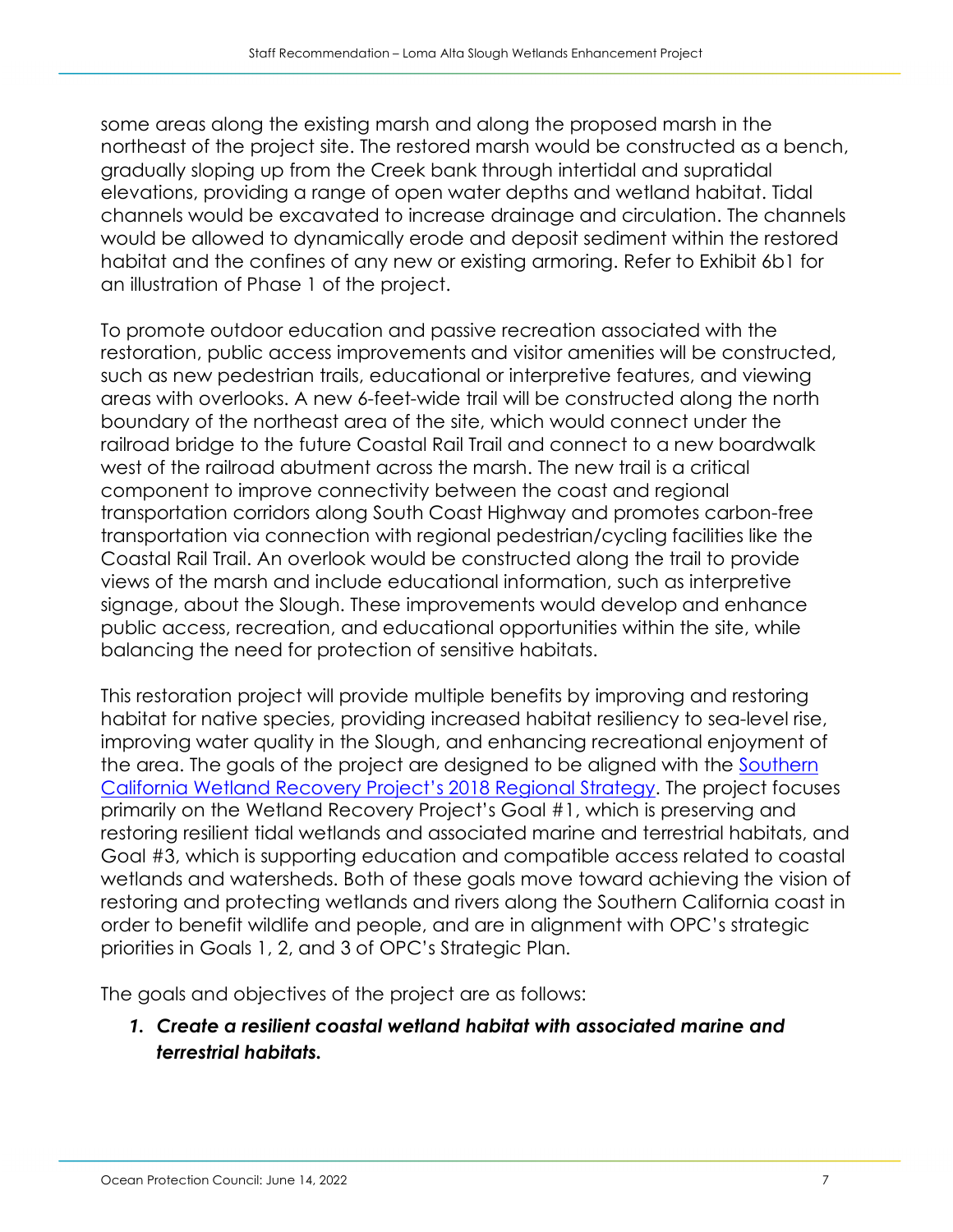some areas along the existing marsh and along the proposed marsh in the northeast of the project site. The restored marsh would be constructed as a bench, gradually sloping up from the Creek bank through intertidal and supratidal elevations, providing a range of open water depths and wetland habitat. Tidal channels would be excavated to increase drainage and circulation. The channels would be allowed to dynamically erode and deposit sediment within the restored habitat and the confines of any new or existing armoring. Refer to Exhibit 6b1 for an illustration of Phase 1 of the project.

To promote outdoor education and passive recreation associated with the restoration, public access improvements and visitor amenities will be constructed, such as new pedestrian trails, educational or interpretive features, and viewing areas with overlooks. A new 6-feet-wide trail will be constructed along the north boundary of the northeast area of the site, which would connect under the railroad bridge to the future Coastal Rail Trail and connect to a new boardwalk west of the railroad abutment across the marsh. The new trail is a critical component to improve connectivity between the coast and regional transportation corridors along South Coast Highway and promotes carbon-free transportation via connection with regional pedestrian/cycling facilities like the Coastal Rail Trail. An overlook would be constructed along the trail to provide views of the marsh and include educational information, such as interpretive signage, about the Slough. These improvements would develop and enhance public access, recreation, and educational opportunities within the site, while balancing the need for protection of sensitive habitats.

This restoration project will provide multiple benefits by improving and restoring habitat for native species, providing increased habitat resiliency to sea-level rise, improving water quality in the Slough, and enhancing recreational enjoyment of the area. The goals of the project are designed to be aligned with the [Southern](https://databasin2-filestore.s3.amazonaws.com/%40page_images/RSU_010819.pdf)  [California Wetland Recovery Project's 2018 Regional Strategy.](https://databasin2-filestore.s3.amazonaws.com/%40page_images/RSU_010819.pdf) The project focuses primarily on the Wetland Recovery Project's Goal #1, which is preserving and restoring resilient tidal wetlands and associated marine and terrestrial habitats, and Goal #3, which is supporting education and compatible access related to coastal wetlands and watersheds. Both of these goals move toward achieving the vision of restoring and protecting wetlands and rivers along the Southern California coast in order to benefit wildlife and people, and are in alignment with OPC's strategic priorities in Goals 1, 2, and 3 of OPC's Strategic Plan.

The goals and objectives of the project are as follows:

*1. Create a resilient coastal wetland habitat with associated marine and terrestrial habitats.*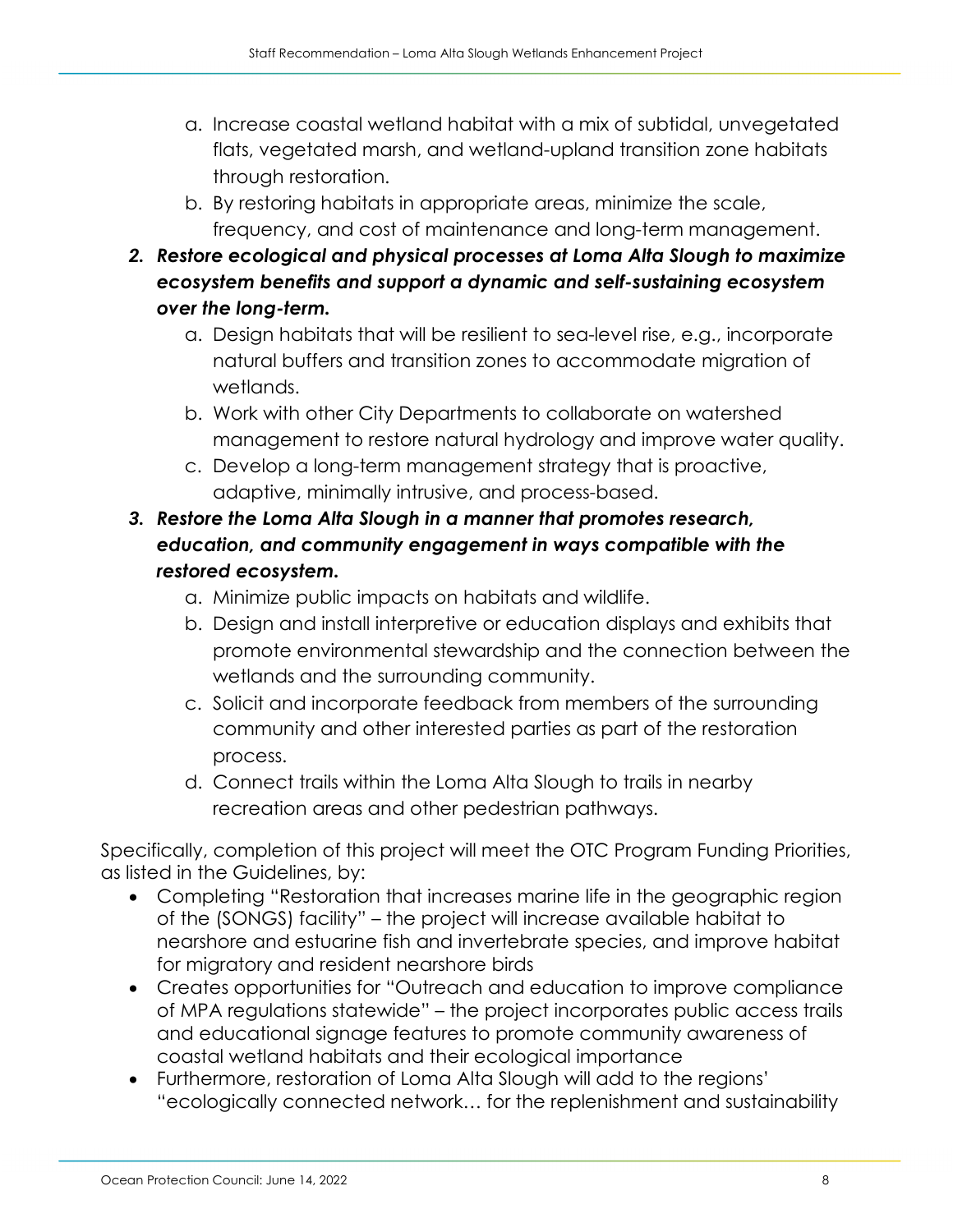- a. Increase coastal wetland habitat with a mix of subtidal, unvegetated flats, vegetated marsh, and wetland-upland transition zone habitats through restoration.
- b. By restoring habitats in appropriate areas, minimize the scale, frequency, and cost of maintenance and long-term management.
- *2. Restore ecological and physical processes at Loma Alta Slough to maximize ecosystem benefits and support a dynamic and self-sustaining ecosystem over the long-term.*
	- a. Design habitats that will be resilient to sea-level rise, e.g., incorporate natural buffers and transition zones to accommodate migration of wetlands.
	- b. Work with other City Departments to collaborate on watershed management to restore natural hydrology and improve water quality.
	- c. Develop a long-term management strategy that is proactive, adaptive, minimally intrusive, and process-based.
- *3. Restore the Loma Alta Slough in a manner that promotes research, education, and community engagement in ways compatible with the restored ecosystem.*
	- a. Minimize public impacts on habitats and wildlife.
	- b. Design and install interpretive or education displays and exhibits that promote environmental stewardship and the connection between the wetlands and the surrounding community.
	- c. Solicit and incorporate feedback from members of the surrounding community and other interested parties as part of the restoration process.
	- d. Connect trails within the Loma Alta Slough to trails in nearby recreation areas and other pedestrian pathways.

Specifically, completion of this project will meet the OTC Program Funding Priorities, as listed in the Guidelines, by:

- Completing "Restoration that increases marine life in the geographic region of the (SONGS) facility" – the project will increase available habitat to nearshore and estuarine fish and invertebrate species, and improve habitat for migratory and resident nearshore birds
- Creates opportunities for "Outreach and education to improve compliance of MPA regulations statewide" – the project incorporates public access trails and educational signage features to promote community awareness of coastal wetland habitats and their ecological importance
- Furthermore, restoration of Loma Alta Slough will add to the regions' "ecologically connected network… for the replenishment and sustainability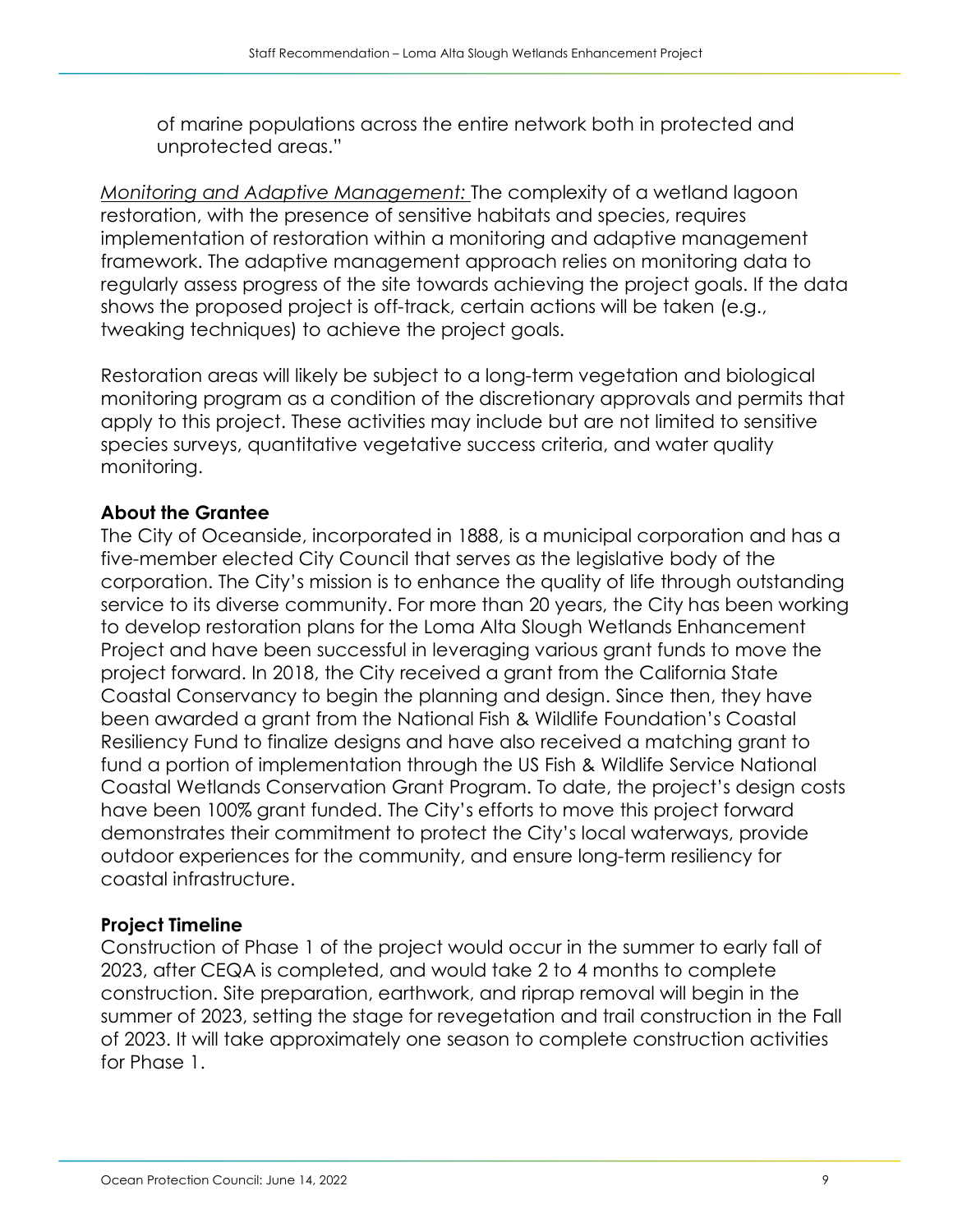of marine populations across the entire network both in protected and unprotected areas."

*Monitoring and Adaptive Management:* The complexity of a wetland lagoon restoration, with the presence of sensitive habitats and species, requires implementation of restoration within a monitoring and adaptive management framework. The adaptive management approach relies on monitoring data to regularly assess progress of the site towards achieving the project goals. If the data shows the proposed project is off-track, certain actions will be taken (e.g., tweaking techniques) to achieve the project goals.

Restoration areas will likely be subject to a long-term vegetation and biological monitoring program as a condition of the discretionary approvals and permits that apply to this project. These activities may include but are not limited to sensitive species surveys, quantitative vegetative success criteria, and water quality monitoring.

## **About the Grantee**

The City of Oceanside, incorporated in 1888, is a municipal corporation and has a five-member elected City Council that serves as the legislative body of the corporation. The City's mission is to enhance the quality of life through outstanding service to its diverse community. For more than 20 years, the City has been working to develop restoration plans for the Loma Alta Slough Wetlands Enhancement Project and have been successful in leveraging various grant funds to move the project forward. In 2018, the City received a grant from the California State Coastal Conservancy to begin the planning and design. Since then, they have been awarded a grant from the National Fish & Wildlife Foundation's Coastal Resiliency Fund to finalize designs and have also received a matching grant to fund a portion of implementation through the US Fish & Wildlife Service National Coastal Wetlands Conservation Grant Program. To date, the project's design costs have been 100% grant funded. The City's efforts to move this project forward demonstrates their commitment to protect the City's local waterways, provide outdoor experiences for the community, and ensure long-term resiliency for coastal infrastructure.

## **Project Timeline**

Construction of Phase 1 of the project would occur in the summer to early fall of 2023, after CEQA is completed, and would take 2 to 4 months to complete construction. Site preparation, earthwork, and riprap removal will begin in the summer of 2023, setting the stage for revegetation and trail construction in the Fall of 2023. It will take approximately one season to complete construction activities for Phase 1.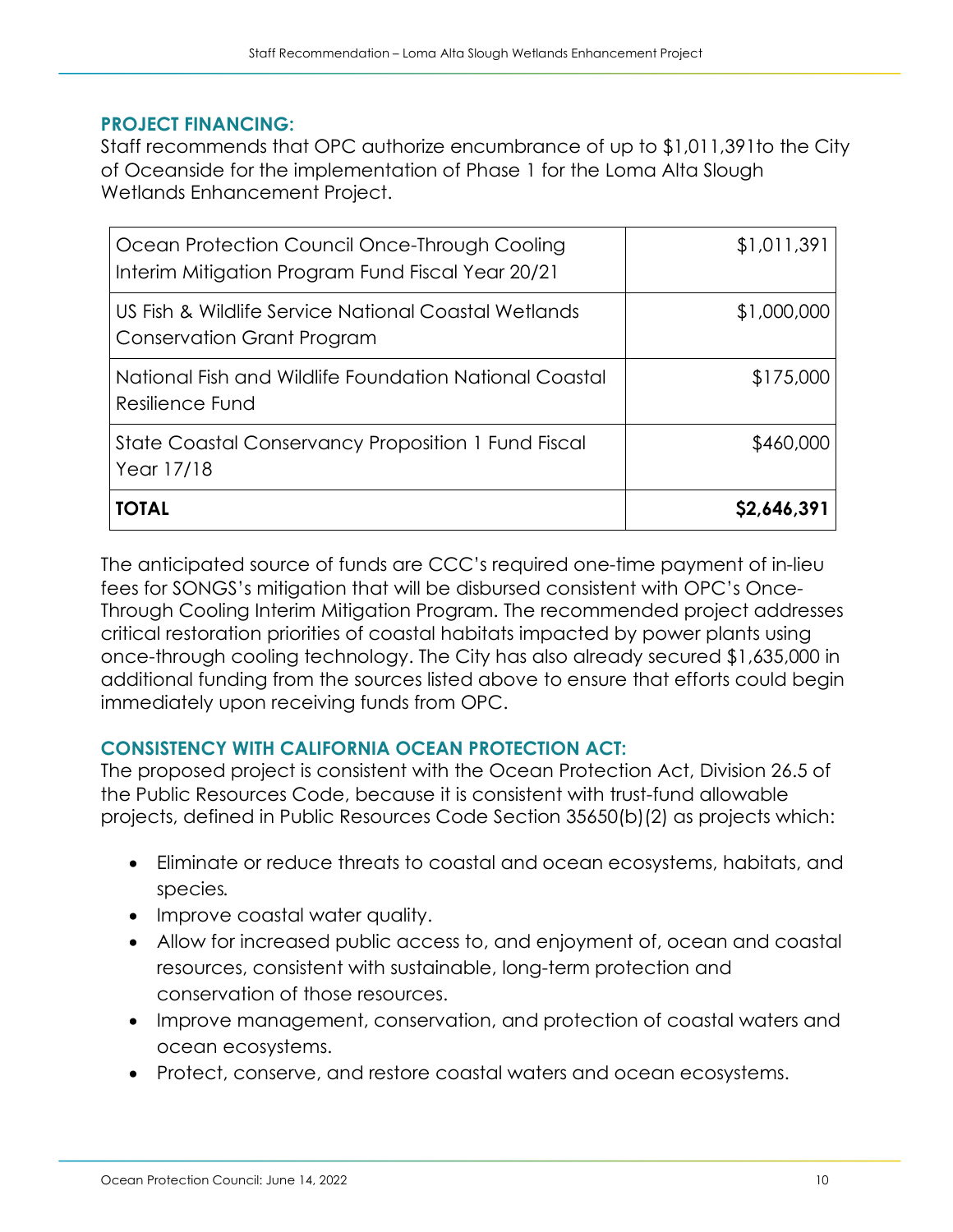### **PROJECT FINANCING:**

Staff recommends that OPC authorize encumbrance of up to \$1,011,391to the City of Oceanside for the implementation of Phase 1 for the Loma Alta Slough Wetlands Enhancement Project.

| Ocean Protection Council Once-Through Cooling<br>Interim Mitigation Program Fund Fiscal Year 20/21 | \$1,011,391 |
|----------------------------------------------------------------------------------------------------|-------------|
| US Fish & Wildlife Service National Coastal Wetlands<br>Conservation Grant Program                 | \$1,000,000 |
| National Fish and Wildlife Foundation National Coastal<br>Resilience Fund                          | \$175,000   |
| State Coastal Conservancy Proposition 1 Fund Fiscal<br>Year 17/18                                  | \$460,000   |
| <b>TOTAL</b>                                                                                       | \$2,646,391 |

The anticipated source of funds are CCC's required one-time payment of in-lieu fees for SONGS's mitigation that will be disbursed consistent with OPC's Once-Through Cooling Interim Mitigation Program. The recommended project addresses critical restoration priorities of coastal habitats impacted by power plants using once-through cooling technology. The City has also already secured \$1,635,000 in additional funding from the sources listed above to ensure that efforts could begin immediately upon receiving funds from OPC.

## **CONSISTENCY WITH CALIFORNIA OCEAN PROTECTION ACT:**

The proposed project is consistent with the Ocean Protection Act, Division 26.5 of the Public Resources Code, because it is consistent with trust-fund allowable projects, defined in Public Resources Code Section 35650(b)(2) as projects which:

- Eliminate or reduce threats to coastal and ocean ecosystems, habitats, and species*.*
- Improve coastal water quality.
- Allow for increased public access to, and enjoyment of, ocean and coastal resources, consistent with sustainable, long-term protection and conservation of those resources.
- Improve management, conservation, and protection of coastal waters and ocean ecosystems.
- Protect, conserve, and restore coastal waters and ocean ecosystems.